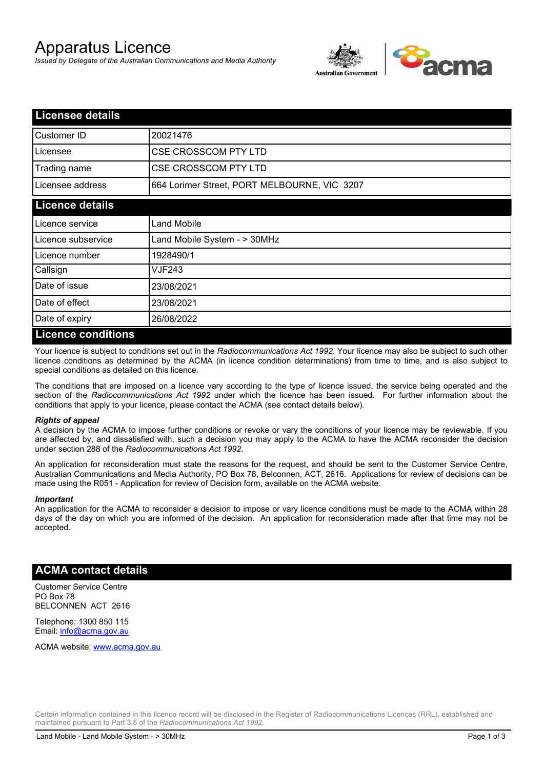## Apparatus Licence

*Issued by Delegate of the Australian Communications and Media Authority*



| <b>Licensee details</b> |                                              |  |  |
|-------------------------|----------------------------------------------|--|--|
| Customer ID             | 20021476                                     |  |  |
| Licensee                | <b>CSE CROSSCOM PTY LTD</b>                  |  |  |
| Trading name            | <b>CSE CROSSCOM PTY LTD</b>                  |  |  |
| Licensee address        | 664 Lorimer Street, PORT MELBOURNE, VIC 3207 |  |  |
| <b>Licence details</b>  |                                              |  |  |
| Licence service         | <b>Land Mobile</b>                           |  |  |
| Licence subservice      | Land Mobile System - > 30MHz                 |  |  |
| Licence number          | 1928490/1                                    |  |  |
| Callsign                | VJF243                                       |  |  |
| Date of issue           | 23/08/2021                                   |  |  |
| Date of effect          | 23/08/2021                                   |  |  |
| Date of expiry          | 26/08/2022                                   |  |  |
| Licance conditions      |                                              |  |  |

## **Licence conditions**

Your licence is subject to conditions set out in the *Radiocommunications Act 1992*. Your licence may also be subject to such other licence conditions as determined by the ACMA (in licence condition determinations) from time to time, and is also subject to special conditions as detailed on this licence.

The conditions that are imposed on a licence vary according to the type of licence issued, the service being operated and the section of the *Radiocommunications Act 1992* under which the licence has been issued. For further information about the conditions that apply to your licence, please contact the ACMA (see contact details below).

#### *Rights of appeal*

A decision by the ACMA to impose further conditions or revoke or vary the conditions of your licence may be reviewable. If you are affected by, and dissatisfied with, such a decision you may apply to the ACMA to have the ACMA reconsider the decision under section 288 of the *Radiocommunications Act 1992*.

An application for reconsideration must state the reasons for the request, and should be sent to the Customer Service Centre, Australian Communications and Media Authority, PO Box 78, Belconnen, ACT, 2616. Applications for review of decisions can be made using the R051 - Application for review of Decision form, available on the ACMA website.

#### *Important*

An application for the ACMA to reconsider a decision to impose or vary licence conditions must be made to the ACMA within 28 days of the day on which you are informed of the decision. An application for reconsideration made after that time may not be accepted.

#### **ACMA contact details**

Customer Service Centre PO Box 78 BELCONNEN ACT 2616

Telephone: 1300 850 115 Email: info@acma.gov.au

ACMA website: www.acma.gov.au

Certain information contained in this licence record will be disclosed in the Register of Radiocommunications Licences (RRL), established and maintained pursuant to Part 3.5 of the *Radiocommunications Act 1992.*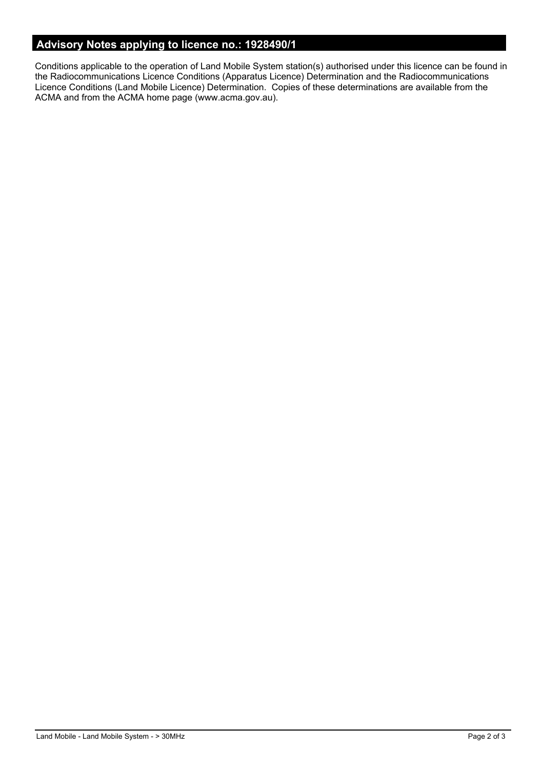## **Advisory Notes applying to licence no.: 1928490/1**

Conditions applicable to the operation of Land Mobile System station(s) authorised under this licence can be found in the Radiocommunications Licence Conditions (Apparatus Licence) Determination and the Radiocommunications Licence Conditions (Land Mobile Licence) Determination. Copies of these determinations are available from the ACMA and from the ACMA home page (www.acma.gov.au).